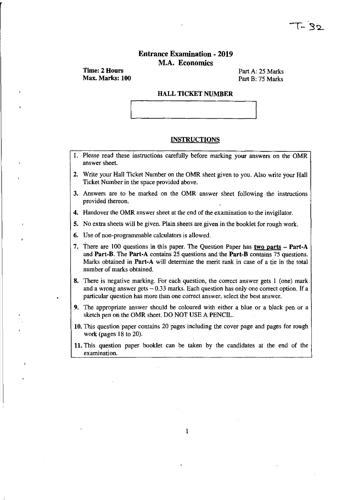# Entrance Examination - 2019 M.A. Economics

Time: 2 Hours Max. Marks: 100

Part A: 25 Marks Part B: 75 Marks

#### HALL TICKET NUMBER

### **INSTRUCTIONS**

- 1. Please read these instructions carefully before marking your answers on the OMR answer sheet.
- 2. Write your Hall Ticket Number on the OMR sheet given to you. Also write your Hall Ticket Number in the space provided above.
- 3. Answers are to be marked on the OMR answer sheet following the instructions provided thereon.
- 4. Handover the OMR answer sheet at the end of the examination to the invigilator.

5. No extra sheets will be given. Plain sheets are given in the booklet for rough work.

6. Use of non-programmable calculators is allowed.

- 7. There are 100 questions in this paper. The Question Paper has two parts  $-$  Part-A and Part-B. The Part-A contains 25 questions and the Part-B contains 75 questions. Marks obtained in Part-A will determine the merit rank in case of a tie in the total number of marks obtained.
- 8. There is negative marking. For each question, the correct answer gets I (one) mark and a wrong answer gets  $-0.33$  marks. Each question has only one correct option. If a particular question has more than one correct answer, select the best answer.
- 9. The appropriate answer should be coloured with either a blue or a black pen or a sketch pen on the OMR sheet. DO NOT USE A PENCIL.
- 10. This question paper contains 20 pages including the cover page and pages for rough work (pages 18 to 20).
- 11. This question paper booklet can be taken by the candidates at the end of the examination.

1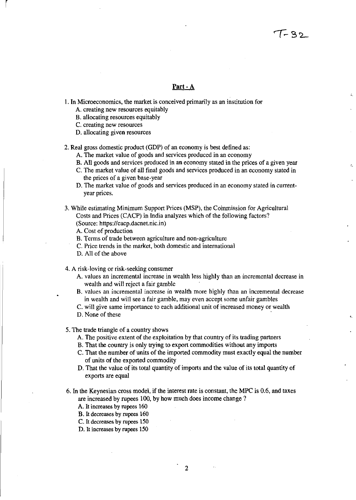# **Part** - A

1. In Microeconomics, the market is conceived primarily as an institution for

- A. creating new resources equitably
- B. allocating resources equitably
- C. creating new resources

r

D. allocating given resources

2. Real gross domestic product (GDP) of an economy is best defined as:

- A. The market value of goods and services produced in an economy
- B. All goods and services produced in an economy stated in the prices of a given year
- C. The market value of all final goods and services produced in an economy stated in the prices of a given base-year
- D. The market value of goods and services produced in an economy stated in currentyear prices.
- 3. While estimating Minimum Support Prices (MSP), the Coinrnission for Agricultural Costs and Prices (CACP) in India analyzes which of the following factors? (Source: https://cacp.dacnet.nic.in)
	- A. Cost of production
	- B. Terms of trade between agriculture and non-agriculture
	- C. Price trends in the market, both domestic and international
	- D. All of the above

4. A risk-loving or risk-seeking consumer

- A. values an incremental increase in wealth less highly than an incremental decrease in wealth and will reject a fair gamble
- B. values an incremental increase in wealth more highly than an incremental decrease in wealth and will see a fair gamble, may even accept some unfair gambles
- C. will give same importance to each additional unit of increased money or wealth
- D. None of these

5. The trade triangle of a country shows

- A. The positive extent of the exploitation by that country of its trading partners
- B. That the country is only trying to export commodities without any imports
- C. That the number of units of the imported commodity must exactly equal the number of units of the exported commodity
- D. That the value of its total quantity of imports and the value of its total quantity of exports are equal
- 6. In the Keynesian cross model, if the interest rate is constant, the MPC is 0.6, and taxes are increased by rupees 100, by how much does income change?
	- A. It increases by rupees 160
	- B. It decreases by rupees 160
	- C. It decreases by rupees 150
	- D. It increases by rupees 150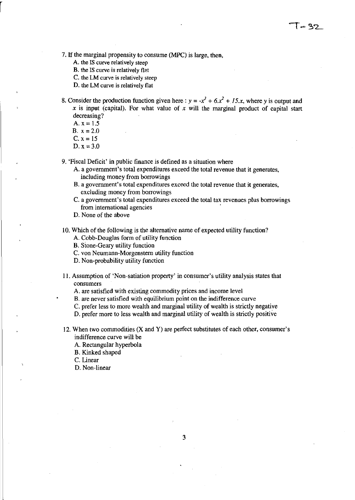7. If the marginal propensity to consume (MPC) is large, then,

A. the IS curve relatively steep

B. the IS curve is relatively flat

C. the LM curve is relatively steep

D. the LM curve is relatively flat

8. Consider the production function given here:  $y = -x^3 + 6x^2 + 15x$ , where *y* is output and  $x$  is input (capital). For what value of  $x$  will the marginal product of capital start decreasing?

A.  $x = 1.5$ 

r

**B.**  $x = 2.0$ 

 $C. x = 15$ 

D.  $x = 3.0$ 

9. 'Fiscal Deficit' in public finance is defined as a situation where

- A. a government's total expenditures exceed the total revenue that it generates, including money from borrowings
- B. a government's total expenditures exceed the total revenue that it generates, excluding money from borrowings
- C. a government's total expenditures exceed the total tax revenues plus borrowings from international agencies .
- D. None of the above
- 10. Which of the following is the alternative name of expected utility function?

A. Cobb-Douglas form of utility function

B. Sione-Geary utility function

C. von Neumann-Morgenstern utility function

D. Non-probability utility function

- 11. Assumption of 'Non-satiation property' in consumer's utility analysis states that consumers
	- A. are satisfied with existing commodity prices and income level
	- B. are never satisfied with equilibrium point on the indifference curve
	- C. prefer less to more wealth and marginal utility of wealth is strictly negative

D. prefer more to less wealth and marginal utility of wealth is strictly positive

12. When two commodities (X and Y) are perfect substitutes of each other, consumer's indifference curve will be

A. Rectangular hyperbola

B. Kinked shaped

C. Linear

D. Non-linear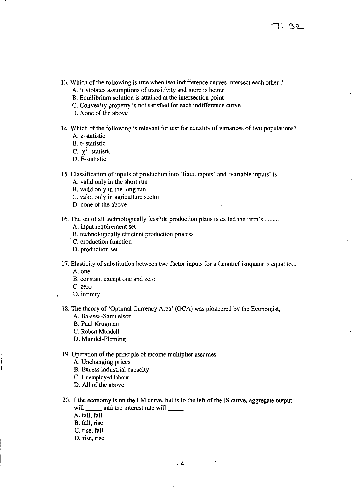- 13. Which of the following is true when two indifference curves intersect each other?
	- A. It violates assumptions of transitivity and more is better
	- B. Equilibrium solution is attained at the intersection point
	- C. Convexity property is not satisfied for each indifference curve
	- D. None of the above
- 14. Which of the following is relevant for test for equality of variances of two populations? A. z-statistic
	- B. t- statistic
	- C.  $\chi^2$  statistic
	- D. F-statistic
- 15. Classification of inputs of production into 'fixed inputs' and 'variable inputs' is
	- A. valid only in the short run
	- B. valid only in the long run
	- C. valid only in agriculture sector
	- D. none of the above
- 16. The set of all technologically feasible production plans is called the firm's ........ .
	- A. input requirement set
	- B. technologically efficient production process
	- . C. production function
	- D. production set
- 17. Elasticity of substitution between two factor inputs for a Leontief isoquant is equal to ...
	- A.one
	- B. constant except one and zero
	- C. zero
	- D. infinity

18. The theory of 'Optimal Currency Area' (OCA) was pioneered by the Economist,

- A. Balassa-Samuelson
- B. Paul Krugman
- C. Robert Mundell
- D. Mundel-Fleming
- 19. Operation of the principle of income multiplier assumes
	- A. Unchanging prices
	- B. Excess industrial capacity
	- C. Unemployed labour
	- D. All of the above
- 20. If the economy is on the LM curve, but is to the left of the IS curve, aggregate output will \_\_\_\_\_\_ and the interest rate will \_\_\_\_\_
	- A. fall, fall
	- B. fall. rise
	- C. rise, fall
	- D. rise, rise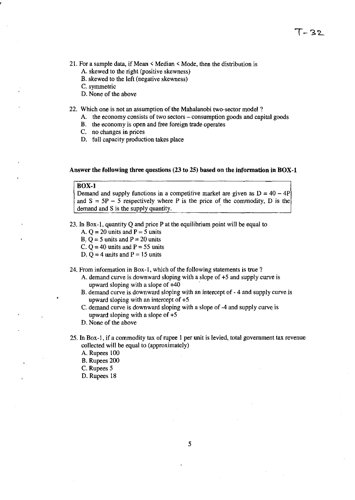- 21. For a sample data, if Mean < Median < Mode, then the distribution is
	- A. skewed to the right (positive skewness)
	- B. skewed to the left (negative skewness)
	- C. symmetric
	- D. None of the above

22. Which one is not an assumption of the Mahalanobi two-sector model?

- A. the economy consists of two sectors consumption goods and capital goods
- B. the economy is open and free foreign trade operates
- C. no changes in prices
- D. full capacity production takes place

### Answer the following three questions (23 to 25) based on the information in BOX-l

#### BOX-l

Demand and supply functions in a competitive market are given as  $D = 40 - 4P$ and  $S = 5P - 5$  respectively where P is the price of the commodity, D is the demand and S is the supply quantity.

23. In Box-1, quantity Q and price P at the equilibrium point will be equal to

- A.  $Q = 20$  units and  $P = 5$  units
- B.  $Q = 5$  units and  $P = 20$  units

C.  $Q = 40$  units and  $P = 55$  units

D.  $Q = 4$  units and  $P = 15$  units

24. From information in Box-I, which of the following statements is true ?

- A. demand curve is downward sloping with a slope of +5 and supply curve is upward sloping with a slope of +40
- B. demand curve is downward sloping with an intercept of 4 and supply curve is upward sloping with an intercept of +5
- C. demand curve is downward sloping with a slope of -4 and supply curve is upward sloping with a slope of +5
- D. None of the above
- 25. In Box-1, if a commodity tax of rupee 1 per unit is levied, total government tax revenue collected will be equal to (approximately)
	- A. Rupees 100
	- B. Rupees 200
	- C. Rupees 5
	- D. Rupees 18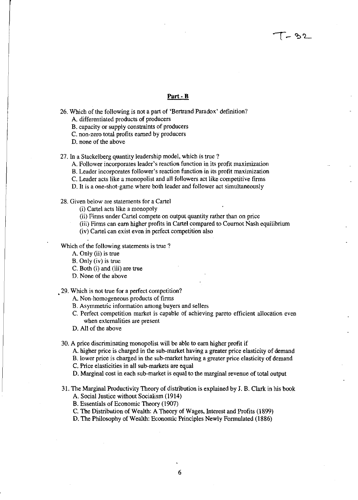### **Part· B**

- 26. Which of the following is not a part of 'Bertrand Paradox' definition?
	- A. differentiated products of producers
	- B. capacity or supply constraints of producers
	- C. non-zero total profits earned by producers
	- D. none of the above

27. In a Stackelberg quantity leadership model, which is true?

- A. Follower incorporates leader's reaction function in its profit maximization
- B. Leader incorporates follower's reaction function in its profit maximization
- C. Leader acts like a monopolist and all followers act like competitive firms
- D. It is a one-shot-game where both leader and follower act simultaneously
- 28. Given below are statements for a Cartel

(i) Cartel acts like a monopoly

- (ii) Firms under Cartel compete on output quantity rather than on price
- (iii) Firms can earn higher profits in Cartel compared to Cournot Nash equilibrium
- (iv) Cartel can exist even in perfect competition also

Which of the following statements is true ?

- A. Only (ii) is true
- B. Only (iv) is true
- C. Both (i) and (iii) are true
- D. None of the above

.29. Which is not true for a perfect competition?

- A. Non-homogeneous products of firms
- B. Asymmetric information among buyers and sellers
- C. Perfect competition market is capable of achieving pareto efficient allocation even when externalities are present
- D. All of the above

30. A price discriminating monopolist wiJI be able to earn higher profit if

A. higher price is charged in the sub-market having a greater price elasticity of demand

B. lower price is charged in the sub-market having a greater price elasticity of demand

C. Price elasticities in all sub-markets are equal

D. Marginal cost in each sub-market is equal to the marginal revenue of total output

31. The Marginal Productivity Theory of distribution is explained by J. B. Clark in his book

A. Social Justice without Socialism (1914)

B. Essentials of Economic Theory (1907)

C. The Distribution of Wealth: A Theory of Wages. Interest and Profits (1899)

D. The Philosophy of Wealth: Economic Principles Newly Formulated (1886)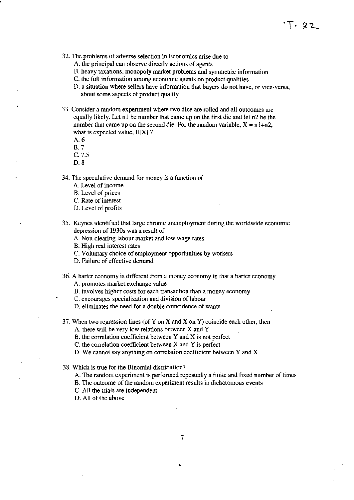- 32. The problems of adverse selection in Economics arise due to
	- A. the principal can observe directly actions of agents
	- B. heavy taxations, monopoly market problems and symmetric information
	- C. the full information among economic agents on product qualities
	- D. a situation where sellers have information that buyers do not have, or vice-versa, about some aspects of product quality
- 33. Consider a random experiment where two dice are rolled and **all** outcomes are equally likely. Let nl be number that came up on the fIrst die and let n2 be the number that came up on the second die. For the random variable,  $X = n1+n2$ , what is expected value,  $E[X]$  ?
	- A.6

,

B.7

C. 7.5

D.8

34. The speculative demand for money is a function of

- A. Level of income
- B. Level of prices
- C. Rate of interest
- D. Level of profits
- 35. Keynes identifIed that large chronic unemployment during the worldwide economic depression of 1930s was a result of
	- A. Non-clearing labour market and low wage rates
	- B. High real interest rates
	- C. Voluntary choice of employment opportunities by workers
	- D. Failure of effective demand
- 36. A barter economy is different from a money economy in that a barter economy

A. promotes market exchange value

- B. involves higher costs for each transaction than a money economy
- C. encourages specialization and division of labour
- D. eliminates the need for a double coincidence of wants
- 37. When two regression lines (of Y on X and X on Y) coincide each other, then A. there will be very low relations between X and Y

B. the correlation coefficient between Y and X is not perfect

 $C$ . the correlation coefficient between  $X$  and  $Y$  is perfect

D. We cannot say anything on correlation coefficient between  $Y$  and  $X$ 

38. Which is true for the Binomial distribution?

A. The random experiment is performed repeatedly a finite and fixed number of times

7

B. The outcome of the random experiment results in dichotomous events

C. All the trials are independent

D. All of the above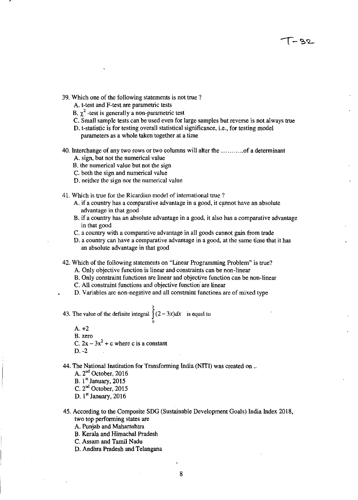- 39. Which one of the following statements is not true ?
	- A. t-test and F-test are parametric tests
	- B.  $\chi^2$  -test is generally a non-parametric test
	- C. Small sample tests can be used even for large samples but reverse is not always true

 $-92$ 

- D. t-statistic is for testing overall statistical significance, i.e., for testing model parameters as a whole taken together at a time
- 40. Interchange of any two rows or two columns will alter the ........... of a determinant
	- A. sign, but not the numerical value
	- B. the numerical value but not the sign
	- C. both the sign and numerical value
	- D. neither the sign nor the numerical value
- 41. Which is true for the Ricardian model of international true ?
	- A. if a country has a comparative advantage in a good, it cannot have an absolute advantage in that good
	- B. if a country has an absolute advantage in a good, it also has a comparative advantage in that good
	- C. a country with a comparative advantage in all goods cannot gain from trade
	- D. a country can have a comparative advantage in a good, at the same time that it has an absolute advantage in that good
- 42. Which of the following statements on "Linear Programming Problem" is true?
	- A. Only objective function is linear and constraints can be non-linear
	- B. Only constraint functions are linear and objective function can be non-linear
	- C. All constraint functions and objective function' are linear
	- D. Variables are non-negative and all constraint functions are of mixed type
- 43. The value of the definite integral  $\int_{0}^{2} (2-3x)dx$  is equal to o
	- $A. +2$ B. zero C.  $2x - 3x^2 + c$  where c is a constant  $D. -2$
- 44. The National Institution for Transforming India (NITI) was created on ..

A. 2nd October, 2016 B.  $1<sup>st</sup>$  January, 2015 C. 2<sup>nd</sup> October, 2015

- D. 1" January, 2016
- 45. According to the Composite SDG (Sustainable Development Goals) India Index 2018, two top performing states are
	- A. Punjab and Maharashtra
	- B. Kerala and Himachal Pradesh
	- C. Assam and Tamil Nadu
	- D. Andhra Pradesh and Telangana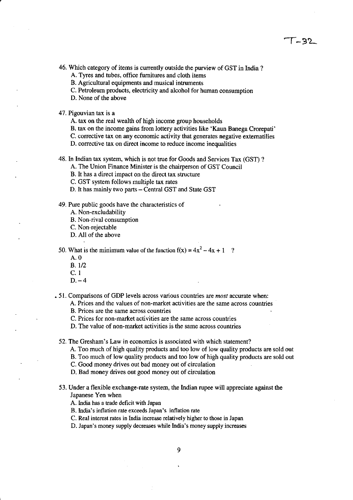# **1-3'2-**

46. Which category of items is currently outside the purview of GST in India?

A. Tyres and tubes, office furnitures and cloth items

B. Agricultural equipments and musical intrurnents

C. Petroleum products, electricity and alcohol for human consumption

O. None of the above

47. Pigouvian tax is a

A. tax on the real wealth of high income group households

B. tax on the income gains from lottery activities like 'Kaun Banega Crorepati'

C. corrective tax on any economic activity that generates negative externatilies

O. corrective tax on direct income to reduce income inequalities

48. In Indian tax system, which is not true for Goods and Services Tax (GST) ?

A. The Union Finance Minister is the chairperson of GST Council

B. It has a direct impact on the direct tax structure

C. GST system follows multiple tax rates

D. It has mainly two parts - Central GST and State GST

49. Pure public goods have the characteristics of

A. Non-excludability

B. Non-rival consumption

C. Non-rejectable

O. All of the above

50. What is the minimum value of the function  $f(x) = 4x^2 - 4x + 1$  ?

- A.O
- B.1I2
- C.l
- $D 4$

• 51. Comparisons of GOP levels across various countries are *most* accurate when:

A. Prices and the values of non-market activities are the same across countries

B. Prices are the same across countries

C. Prices for non-market activities are the same across countries

O. The value of non-market activities is the same across countries

52. The Gresham's Law in economics is associated with which statement?

A. Too much of high quality products and too low of low quality products are sold out

B. Too much of low quality products and too low of high quality products are sold out

C. Good money drives out bad money out of circulation

O. Bad money drives out good money out of circulation

53. Under a flexible exchange-rate system, the Indian rupee will appreciate against the Japanese Yen when

A. India has a trade deficit with Japan

B. India's inflation rate exceeds Japan's inflation rate

C. Real interest rates in India increase relatively higher to those in Japan

O. Japan's money supply decreases while India's money supply increases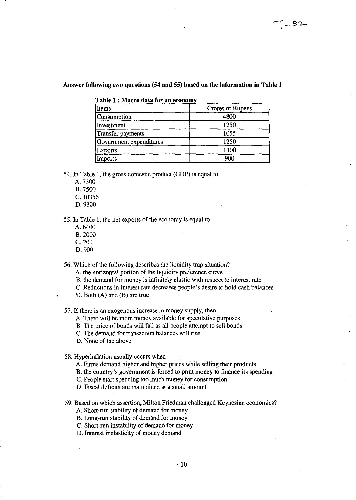### Answer following two questions (54 and 55) based on the information in Table 1

|  |  |  | Table 1 : Macro data for an economy |  |
|--|--|--|-------------------------------------|--|
|  |  |  |                                     |  |

| Items                   | Crores of Rupees |  |  |  |
|-------------------------|------------------|--|--|--|
| Consumption             | 4800             |  |  |  |
| Investment              | 1250             |  |  |  |
| Transfer payments       | 1055             |  |  |  |
| Government expenditures | 1250             |  |  |  |
| <b>Exports</b>          | 1100             |  |  |  |
| Imports                 | 900              |  |  |  |

54. In Table 1, the gross domestic product (GDP) is equal to

- A.73oo
- B.75oo
- C.10355
- D.9300

55. In Table I, the net exports of the economy is equal to

- A. 6400
- B.20oo
- C.2OO
- D.9OO

56. Which of the following describes the liquidity trap situation?

A. the horizontal portion of the liquidity preference curve

- B. the demand for money is infinitely elastic with respect to interest rate
- C. Reductions in interest rate decreases people's desire to hold cash balances
- D. Both (A) and (B) are true

57. If there is an exogenous increase in money supply, then,

- A. There will be more money available for speculative purposes
- B. The price of bonds will fall as all people attempt to sell bonds
- C. The demand for transaction balances will rise

D. None of the above

58. Hyperinflation usually occurs when

- A. Firms demand higher and higher prices while selling their products
- B. the country's government is forced to print money to finance its spending
- C. People start spending too much money for consumption
- D. Fiscal deficits are maintained at a small amount

59. Based on which assertion, Milton Friedman challenged Keynesian economics?

- A. Short-run stability of demand for money
- B. Long-run stability of demand for money
- C. Short-run instability of demand for money
- D. Interest inelasticity of money demand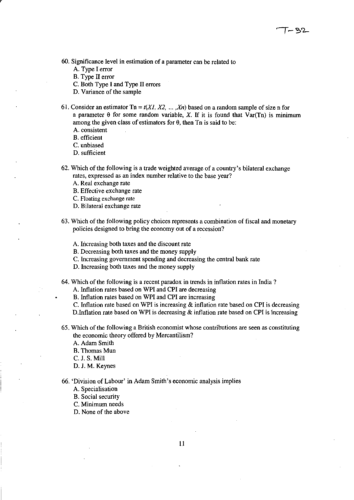- 60. Significance level in estimation of a parameter can be related to
	- A. Type I error
	- B. Type II error
	- C. Both Type I and Type II errors
	- D. Variance of the sample
- 61. Consider an estimator  $\text{Ta} = t(XI, X2, \ldots, Xn)$  based on a random sample of size n for a parameter  $\theta$  for some random variable, X. If it is found that  $Var(Tn)$  is minimum among the given class of estimators for  $\theta$ , then Tn is said to be:
	- A. consistent
	- B. efficient
	- C. unbiased
	- D. sufficient
- 62. Which of the following is a trade weighted average of a country's bilateral exchange rates, expressed as an index number relative to the base year?
	- A. Real exchange rate
	- B. Effective exchange rate
	- C. Floating exchange rate
	- D. Bilateral exchange rate
- 63. Which of the following policy choices represents a combination of fiscal and monetary policies designed to bring the economy out of a recession?
	- A. Increasing both taxes and the discount rate
	- B. Decreasing both taxes and the money supply
	- C. Increasing government spending and decreasing the central bank rate
	- D. Increasing both taxes and the money supply
- 64. Which of the following is a recent paradox in trends in inflation rates in India?

A. Inflation rates based on WPI and CPI are decreasing

B. Inflation rates based on WPI and CPI are increasing

C. Inflation rate based on WPI is increasing & inflation rate based on CPI is decreasing D.lnflation rate based on WPI is decreasing & inflation rate based on CPI is increasing

65. Which of the following a British economist whose contributions are seen as constituting the economic theory offered by Mercantilism?

A. Adam Smith

- B. Thomas Mun
- C. J. S. Mill
- D. J. M. Keynes

66. 'Division of Labour' in Adam Smith's economic analysis implies

- A. Specialisation
- B. Social security
- C. Minimum needs
- D. None of the above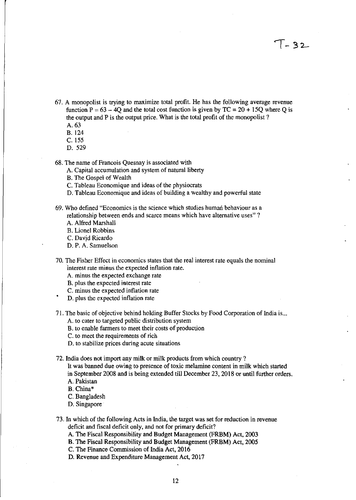- $67$ . A monopolist is trying to maximize total profit. He has the following average revenue function  $P = 63 - 4Q$  and the total cost function is given by  $TC = 20 + 15Q$  where Q is the output and P is the output price. What is the total profit of the monopolist?
	- A.63
	- B.124
	- C. 155
	- D.529

6S. The name of Francois Quesnay is associated with

A. Capital accumulation and system of natural liberty

- B. The Gospel of Wealth
- C. Tableau Economique and ideas of the physiocrats
- D. Tableau Economique and ideas of building a wealthy and powerful state
- 69. Who defined "Economics is the science which studies human behaviour as a relationship between ends and scarce means which have alternative uses" ?
	- A. Alfred Marshall

B. Lionel Robbins

C. Davjd Ricardo

- D. P. A. Samuelson
- 70. The Fisher Effect in economics states that the real interest rate equals the nominal interest rate minus the expected inflation rate.
	- A. minus the expected exchange rate
	- B. plus the expected interest rate
	- C. minus the expected inflation rate
	- D. plus the expected inflation rate
- 71. The basic of objective behind holding Buffer Stocks by Food Corporation of India is...
	- A. to cater to targeted public distribution system
	- B. to enable farmers to meet their costs of production
	- C. to meet the requirements of rich
	- D. to stabilize prices during acute situations

72. India does not import any milk or milk products from which country ?

- It was banned due owing to presence of toxic melamine content in milk which started in September 200S and is being extended till December 23, 201S or until further orders. A. Pakistan
- B. China\*
- C. Bangladesh
- D. Singapore
- 73. In which of the following Acts in India, the target was set for reduction in revenue deficit and fiscal deficit only, and not for primary deficit?
	- A. The Fiscal Responsibility and Budget Management (FRBM) Act, 2003
	- B. The Fiscal Responsibility and Budget Management (FRBM) Act, 2005
	- C. The Finance Commission of India Act, 2016
	- D. Revenue and Expenditure Management Act, 2017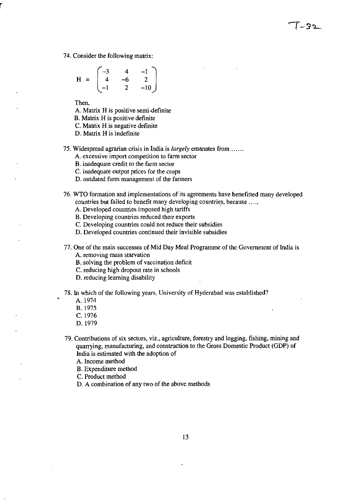74. Consider the following matrix:

$$
H = \begin{bmatrix} -3 & 4 & -1 \\ 4 & -6 & 2 \\ -1 & 2 & -10 \end{bmatrix}
$$

Then,

A. Matrix H is positive semi-definite

B. Matrix H is positive definite

C. Matrix H is negative definite

D. Matrix H is indefinite

75. Widespread agrarian crisis in India is *largely* emanates from ......

A. excessive import competition to farm sector

B. inadequate credit to the farm sector

C. inadequate output prices for the crops

D. outdated farm management of the farmers

76. WTO formation and implementations of its agreements have benefitted many developed countries but failed to benefit many developing countries, because .....

 $-32$ 

A. Developed countries imposed high tariffs

B. Developing countries reduced their exports

C. Developing countries could not reduce their subsidies

D. Developed countries continued their invisible subsidies

77. One of the main successes of Mid Day Meal Programme of the Government of India is A. removing mass starvation

B. solving the problem of vaccination deficit

C. reducing high dropout rate in schools

D. reducing learning disability

78. In which of the following years, University of Hyderabad was established?

A. 1974

B.1975

- C. 1976
- D. 1979

79. Contributions of six sectors, viz., agriculture, forestry and logging, fishing, mining and quarrying, manufacturing, and construction to the Gross Domestic Product (GDP) of India is estimated with the adoption of

A. Income method

B. Expenditure method

C. Product method

D. A combination of any two of the above methods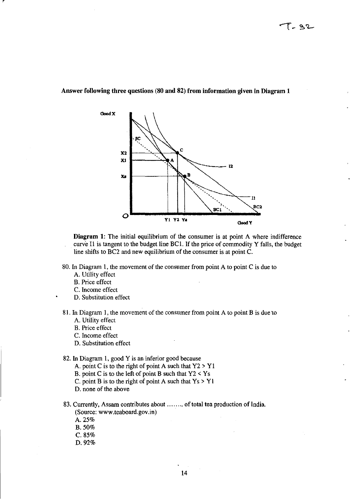

## Answer following three questions (80 and 82) from information given in Diagram 1

Diagram 1: The initial equilibrium of the consumer is at point A where indifference curve I1 is tangent to the budget line BC1. If the price of commodity Y falls, the budget line shifts to BC2 and new equilibrium of the consumer is at point C.

- 80. In Diagram 1, the movement of the consumer from point A to point C is due to
	- A. Utility effect
	- B. Price effect
	- C. 1ncome effect
	- D. Substitution effect
- 81. 1n Diagram 1, the movement of the consumer from point A to point B is due 'to A. Utility effect
	- B. Price effect
	- C. Income effect
	- D. Substitution effect

## 82. 1n Diagram 1, good Y is an inferior good because

- A. point C is to the right of point A such that  $Y2 > Y1$
- B. point C is to the left of point B such that  $Y2 < Ys$
- C. point B is to the right of point A such that  $Y_s > Y_1$
- D. none of the above
- 83. Currently, Assam contributes about ........ of total tea production of India. (Source: www.teaboard.gov.in)
	- A.25%
	- B.50%
	- C.85%
	- D.92%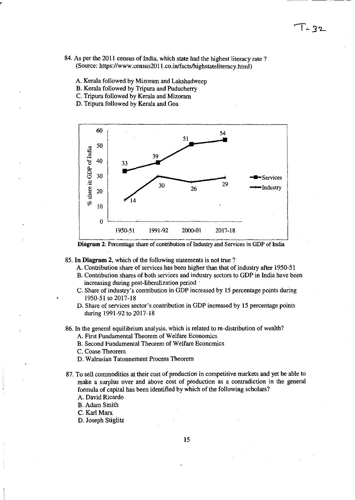- 84. As per the 2011 census of India, which state had the highest literacy rate? (Source: https://www.census2011.co.in/facts/highstateliteracy.html)
	- A. Kerala followed by Mizoram and Lakshadweep
	- B. Kerala followed by Tripura and Puducherry
	- C. Tripura followed by Kerala and Mizoram
	- D. Tripura followed by Kerala and Goa



**Diagram** 2: Percentage share of contribution of Industry and Services in GDP of India

- 85. **In Diagram** 2, which of the following statements is not true ?
	- A. Contribution share of services has been higher than that of industry after 1950-51
	- B. Contribution shares of both services and industry sectors to GDP in India have been increasing during post-liberalization period'
	- C. Share of industry's contribution in GDP increased by 15 percentage points during 1950-51 to 2017-18
	- D. Share of services sector's contribution in GDP increased by 15 percentage points during 1991-92 to 2017-18
- 86. In the general equilibrium anal ysis, which is related to re-distribution of wealth?
	- A. First Fundamental Theorem of We1fare Economics
	- B. Second Fundamental Theorem of Welfare Economics
	- C. Coase Theorem
	- D. Walrasian Tatonnement Process Theorem
- 87. To sell commodities at their cost of production in competitive markets and yet be able to make a surplus over and above cost of production as a contradiction in the general formula of capital has been identified by which of the following scholars?
	- A. David Ricardo
	- B. Adam Smith
	- C. Karl Marx
	- D. Joseph Stiglitz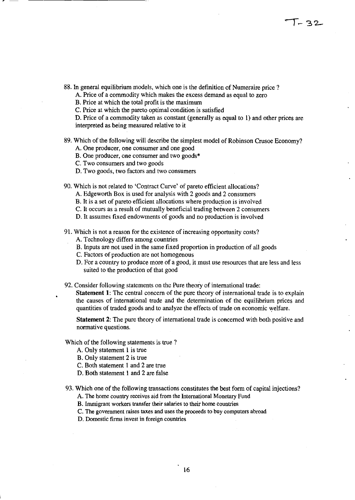88. In general equilibrium models, which one is the definition of Numeraire price?

A. Price of a commodity which makes the excess demand as equal to zero

B. Price at which the total profit is the maximum

C. Price at which the pareto optimal condition is satisfied

D. Price of a commodity taken as constant (generally as equal to 1) and other prices are interpreted as being measured relative to it

89. Which of the following will describe the Simplest model of Robinson Crusoe Economy?

A. One producer, one consumer and one good

- B. One producer, one consumer and two goods\*
- C. Two consumers and two goods

,.--

- D. Two goods, two factors and two consumers
- 90. Which is not related to 'Contract Curve' of pareto efficient allocations?
	- A. Edgeworth Box is used for analysis with 2 goods and 2 consumers
	- B. It is a set of pareto efficient allocations where production is involved
	- C. It occurs as a result of mutually beneficial trading between 2 consumers
	- D. It assumes fixed endowments of goods and no production is involved

91. Which is not a reason for the existence of increasing opportunity costs?

- A. Technology differs among countries
	- B. Inputs are not used in the same fixed proportion in production of all goods
	- C. Factors of production are not homogenous
	- D. For a country to produce more of a good, it must use resources that are less and less suited to the production of that good
- 92. Consider following statements on the Pure theory of international trade:

Statement 1: The central concern of the pure theory of international trade is to explain the causes of international trade and the determination of the equilibrium prices and quantities of traded goods and to analyze the effects of trade on economic welfare.

Statement 2: The pure theory of international trade is concerned with both positive and normative questions.

Which of the following statements is true ?

- A. Only statement I is true
- B. Only statement 2 is true
- C. Both statement 1 and 2 are true
- D. Both statement 1 and 2 are false

### 93. Which one of the following transactions constitutes the best form of capital injections?

A. The home country receives aid from the International Monetary Fund

- B. Immigrant workers transfer their salaries to their home countries
- C. The government raises taxes and uses the proceeds to buy computers abroad
- D. Domestic firms invest in foreign countries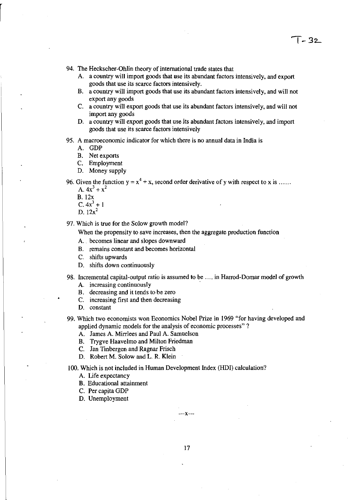94. The Heckscher-Ohlin theory of international trade states that

- A. a country will import goods that use its abundant factors intensively, and export goods that use its scarce factors intensively.
- B. a country will import goods that use its abundant factors intensively, and will not export any goods
- C. a country will export goods that use its abundant factors intensively, and will not import any goods
- D. a country will export goods that use its abundant factors intensively, and import goods that use its scarce factors intensively
- 95. A macroeconomic indicator for which there is no annual data in India is
	- A. GDP
	- B. Net exports
	- C. Employment
	- D. Money supply
- 96. Given the function  $y = x^4 + x$ , second order derivative of y with respect to x is .....
	- A.  $4x^3 + x^2$
	- B. 12x
	- C.  $4x^3 + 1$
	- D.  $12x^2$

97. Which is true for the Solow growth model?

When the propensity to save increases, then the aggregate production function

- A.. becomes linear and slopes downward
- B. remains constant and becomes horizontal
- C. shifts upwards
- D. shifts down continuously
- 98. Incremental capital-output ratio is assumed to be .... in Harrod-Domar model of growth
	- A. increasing continuously .
	- B. decreasing and it tends to be zero
	- C. increasing first and then decreasing
	- D. constant
- 99. Which two economists won Economics Nobel Prize in 1969 "for having developed and applied dynamic models for the analysis of economic processes" ?
	- A. James A. Mirrlees and Paul A. Samuelson
	- B. Trygve Haavelmo and Milton Friedman
	- C. Jan Tinbergen and Ragnar Frisch
	- D. Robert M. Solow and L R. Klein

100. Which is not included in Human Development Index (HOI) calculation?

- A. Life expectancy
- B. Educational attainment
- C. Per capita GDP
- D. Unemployment

---x---